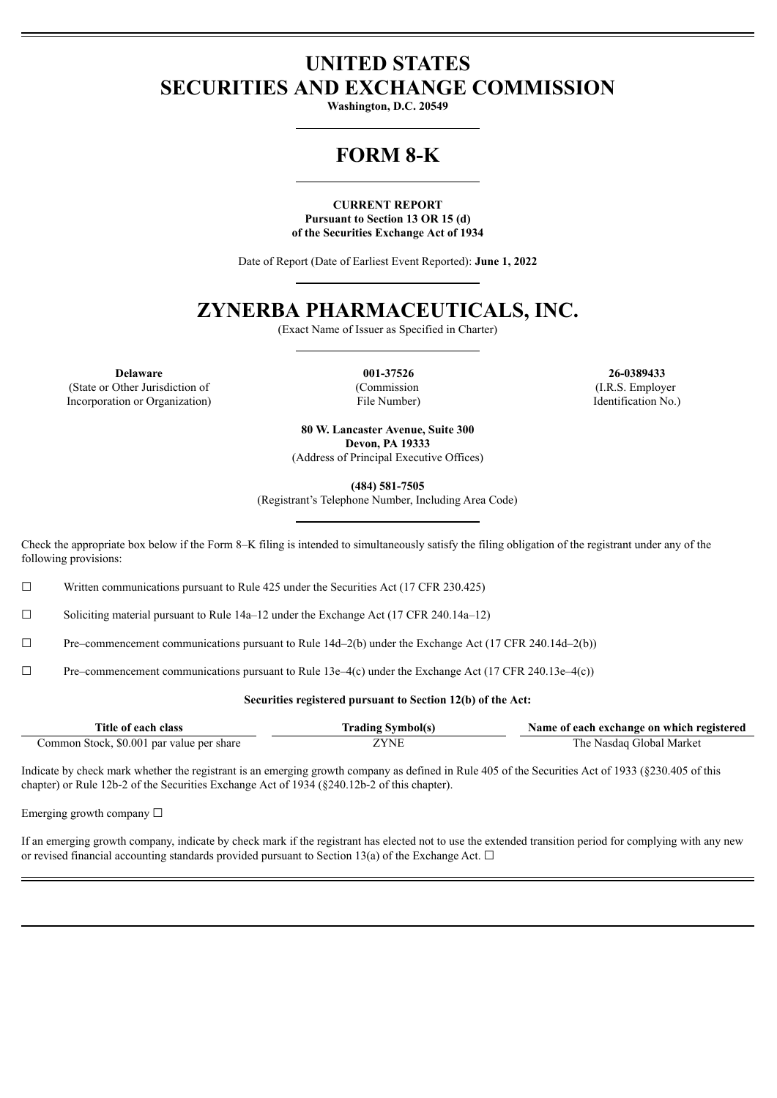## **UNITED STATES SECURITIES AND EXCHANGE COMMISSION**

**Washington, D.C. 20549**

# **FORM 8-K**

## **CURRENT REPORT Pursuant to Section 13 OR 15 (d) of the Securities Exchange Act of 1934**

Date of Report (Date of Earliest Event Reported): **June 1, 2022**

## **ZYNERBA PHARMACEUTICALS, INC.**

(Exact Name of Issuer as Specified in Charter)

**Delaware 001-37526 26-0389433** (State or Other Jurisdiction of Incorporation or Organization)

(Commission File Number)

(I.R.S. Employer Identification No.)

**80 W. Lancaster Avenue, Suite 300 Devon, PA 19333** (Address of Principal Executive Offices)

**(484) 581-7505**

(Registrant's Telephone Number, Including Area Code)

Check the appropriate box below if the Form 8–K filing is intended to simultaneously satisfy the filing obligation of the registrant under any of the following provisions:

 $\Box$  Written communications pursuant to Rule 425 under the Securities Act (17 CFR 230.425)

 $\Box$  Soliciting material pursuant to Rule 14a–12 under the Exchange Act (17 CFR 240.14a–12)

 $\Box$  Pre–commencement communications pursuant to Rule 14d–2(b) under the Exchange Act (17 CFR 240.14d–2(b))

 $\Box$  Pre–commencement communications pursuant to Rule 13e–4(c) under the Exchange Act (17 CFR 240.13e–4(c))

## **Securities registered pursuant to Section 12(b) of the Act:**

| Title of each class                       | <b>Trading Symbol(s)</b> | Name of each exchange on which registered |
|-------------------------------------------|--------------------------|-------------------------------------------|
| Common Stock, \$0.001 par value per share | ZYNE                     | The Nasdag Global Market                  |

Indicate by check mark whether the registrant is an emerging growth company as defined in Rule 405 of the Securities Act of 1933 (§230.405 of this chapter) or Rule 12b-2 of the Securities Exchange Act of 1934 (§240.12b-2 of this chapter).

Emerging growth company  $\Box$ 

If an emerging growth company, indicate by check mark if the registrant has elected not to use the extended transition period for complying with any new or revised financial accounting standards provided pursuant to Section 13(a) of the Exchange Act.  $\Box$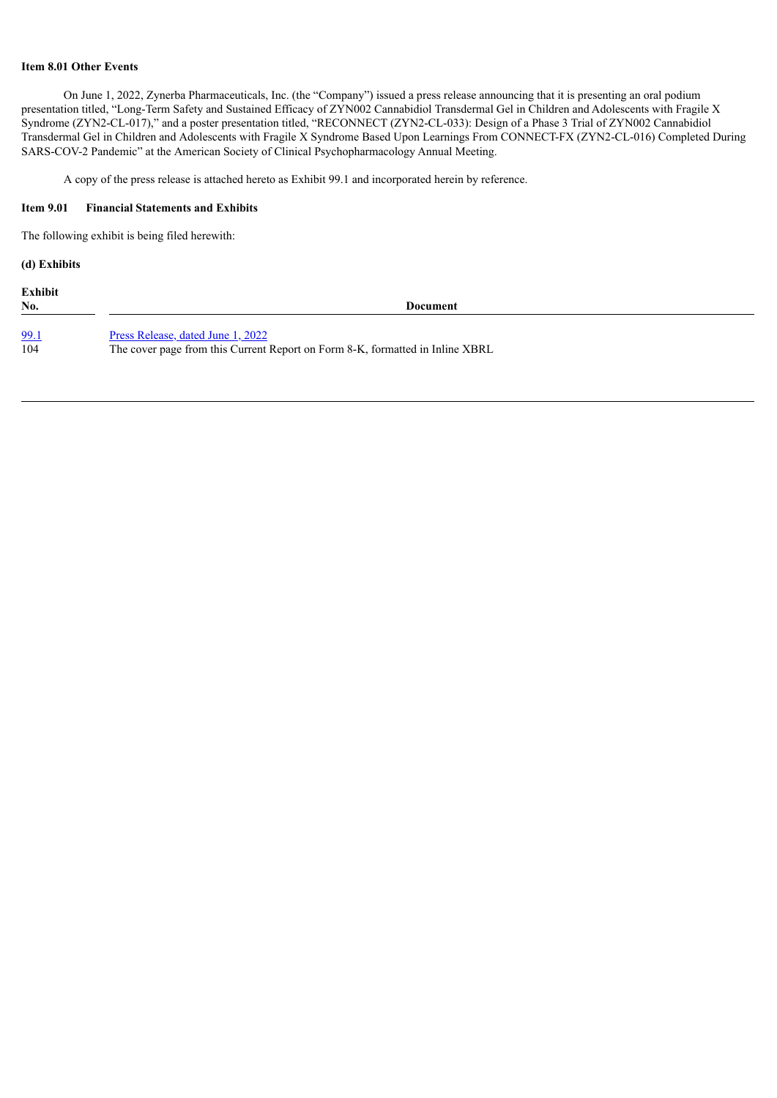## **Item 8.01 Other Events**

On June 1, 2022, Zynerba Pharmaceuticals, Inc. (the "Company") issued a press release announcing that it is presenting an oral podium presentation titled, "Long-Term Safety and Sustained Efficacy of ZYN002 Cannabidiol Transdermal Gel in Children and Adolescents with Fragile X Syndrome (ZYN2-CL-017)," and a poster presentation titled, "RECONNECT (ZYN2-CL-033): Design of a Phase 3 Trial of ZYN002 Cannabidiol Transdermal Gel in Children and Adolescents with Fragile X Syndrome Based Upon Learnings From CONNECT-FX (ZYN2-CL-016) Completed During SARS-COV-2 Pandemic" at the American Society of Clinical Psychopharmacology Annual Meeting.

A copy of the press release is attached hereto as Exhibit 99.1 and incorporated herein by reference.

## **Item 9.01 Financial Statements and Exhibits**

The following exhibit is being filed herewith:

## **(d) Exhibits**

**Exhibit**

**No. Document**

[99.1](#page-3-0) Press [Release,](#page-3-0) dated June 1, 2022<br>104 The cover page from this Current The cover page from this Current Report on Form 8-K, formatted in Inline XBRL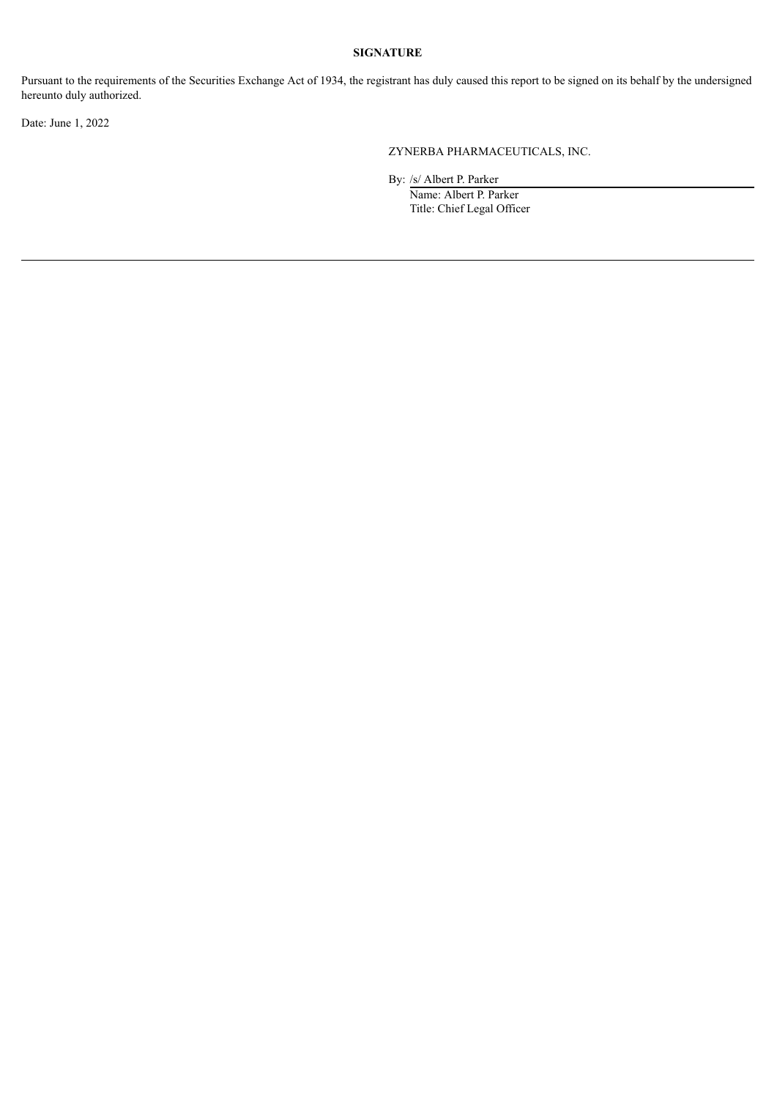## **SIGNATURE**

Pursuant to the requirements of the Securities Exchange Act of 1934, the registrant has duly caused this report to be signed on its behalf by the undersigned hereunto duly authorized.

Date: June 1, 2022

ZYNERBA PHARMACEUTICALS, INC.

By: /s/ Albert P. Parker

Name: Albert P. Parker Title: Chief Legal Officer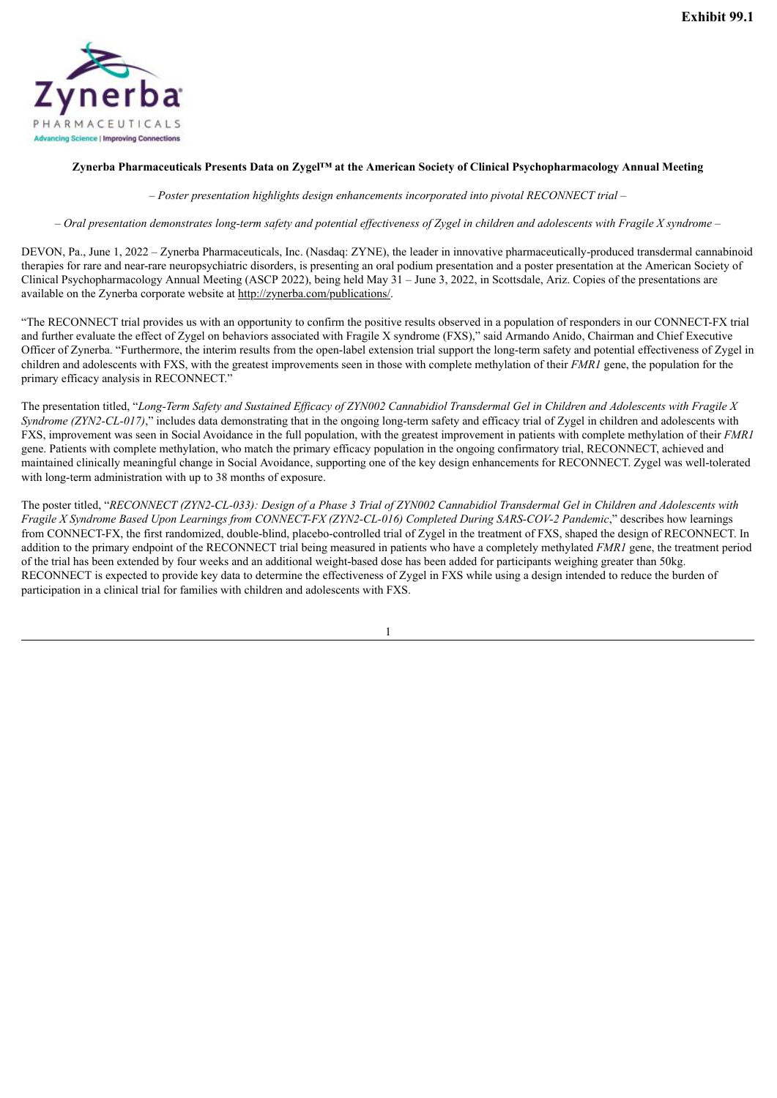<span id="page-3-0"></span>

## **Zynerba Pharmaceuticals Presents Data on Zygel™ at the American Society of Clinical Psychopharmacology Annual Meeting**

*– Poster presentation highlights design enhancements incorporated into pivotal RECONNECT trial –*

 $-$  Oral presentation demonstrates long-term safety and potential effectiveness of Zygel in children and adolescents with Fragile X syndrome  $-$ 

DEVON, Pa., June 1, 2022 – Zynerba Pharmaceuticals, Inc. (Nasdaq: ZYNE), the leader in innovative pharmaceutically-produced transdermal cannabinoid therapies for rare and near-rare neuropsychiatric disorders, is presenting an oral podium presentation and a poster presentation at the American Society of Clinical Psychopharmacology Annual Meeting (ASCP 2022), being held May  $31 -$  June 3, 2022, in Scottsdale, Ariz. Copies of the presentations are available on the Zynerba corporate website at http://zynerba.com/publications/.

"The RECONNECT trial provides us with an opportunity to confirm the positive results observed in a population of responders in our CONNECT-FX trial and further evaluate the effect of Zygel on behaviors associated with Fragile X syndrome (FXS)," said Armando Anido, Chairman and Chief Executive Officer of Zynerba. "Furthermore, the interim results from the open-label extension trial support the long-term safety and potential effectiveness of Zygel in children and adolescents with FXS, with the greatest improvements seen in those with complete methylation of their *FMR1* gene, the population for the primary efficacy analysis in RECONNECT."

The presentation titled, "Long-Term Safety and Sustained Efficacy of ZYN002 Cannabidiol Transdermal Gel in Children and Adolescents with Fragile X *Syndrome* (ZYN2-CL-017)," includes data demonstrating that in the ongoing long-term safety and efficacy trial of Zygel in children and adolescents with FXS, improvement was seen in Social Avoidance in the full population, with the greatest improvement in patients with complete methylation of their *FMR1* gene. Patients with complete methylation, who match the primary efficacy population in the ongoing confirmatory trial, RECONNECT, achieved and maintained clinically meaningful change in Social Avoidance, supporting one of the key design enhancements for RECONNECT. Zygel was well-tolerated with long-term administration with up to 38 months of exposure.

The poster titled, "RECONNECT (ZYN2-CL-033): Design of a Phase 3 Trial of ZYN002 Cannabidiol Transdermal Gel in Children and Adolescents with *Fragile X Syndrome Based Upon Learnings from CONNECT-FX (ZYN2-CL-016) Completed During SARS-COV-2 Pandemic*," describes how learnings from CONNECT-FX, the first randomized, double-blind, placebo-controlled trial of Zygel in the treatment of FXS, shaped the design of RECONNECT. In addition to the primary endpoint of the RECONNECT trial being measured in patients who have a completely methylated *FMR1* gene, the treatment period of the trial has been extended by four weeks and an additional weight-based dose has been added for participants weighing greater than 50kg. RECONNECT is expected to provide key data to determine the effectiveness of Zygel in FXS while using a design intended to reduce the burden of participation in a clinical trial for families with children and adolescents with FXS.

1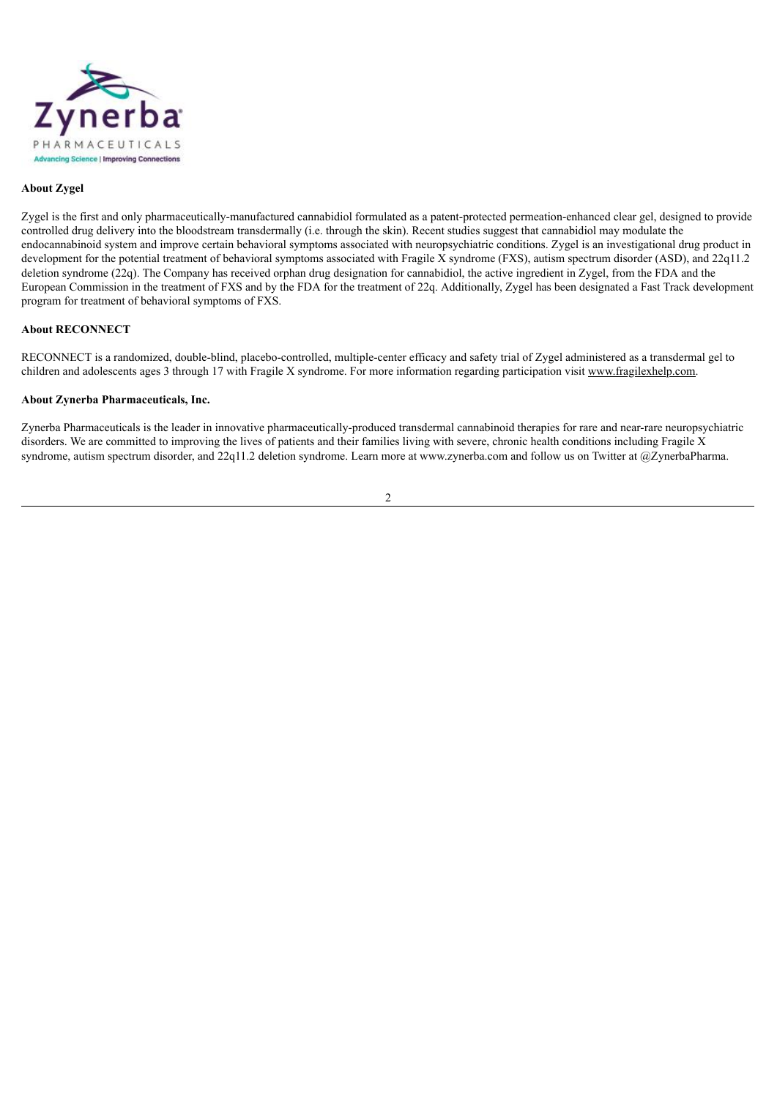

## **About Zygel**

Zygel is the first and only pharmaceutically-manufactured cannabidiol formulated as a patent-protected permeation-enhanced clear gel, designed to provide controlled drug delivery into the bloodstream transdermally (i.e. through the skin). Recent studies suggest that cannabidiol may modulate the endocannabinoid system and improve certain behavioral symptoms associated with neuropsychiatric conditions. Zygel is an investigational drug product in development for the potential treatment of behavioral symptoms associated with Fragile X syndrome (FXS), autism spectrum disorder (ASD), and 22q11.2 deletion syndrome (22q). The Company has received orphan drug designation for cannabidiol, the active ingredient in Zygel, from the FDA and the European Commission in the treatment of FXS and by the FDA for the treatment of 22q. Additionally, Zygel has been designated a Fast Track development program for treatment of behavioral symptoms of FXS.

## **About RECONNECT**

RECONNECT is a randomized, double-blind, placebo-controlled, multiple-center efficacy and safety trial of Zygel administered as a transdermal gel to children and adolescents ages 3 through 17 with Fragile X syndrome. For more information regarding participation visit www.fragilexhelp.com.

## **About Zynerba Pharmaceuticals, Inc.**

Zynerba Pharmaceuticals is the leader in innovative pharmaceutically-produced transdermal cannabinoid therapies for rare and near-rare neuropsychiatric disorders. We are committed to improving the lives of patients and their families living with severe, chronic health conditions including Fragile X syndrome, autism spectrum disorder, and 22q11.2 deletion syndrome. Learn more at www.zynerba.com and follow us on Twitter at @ZynerbaPharma.